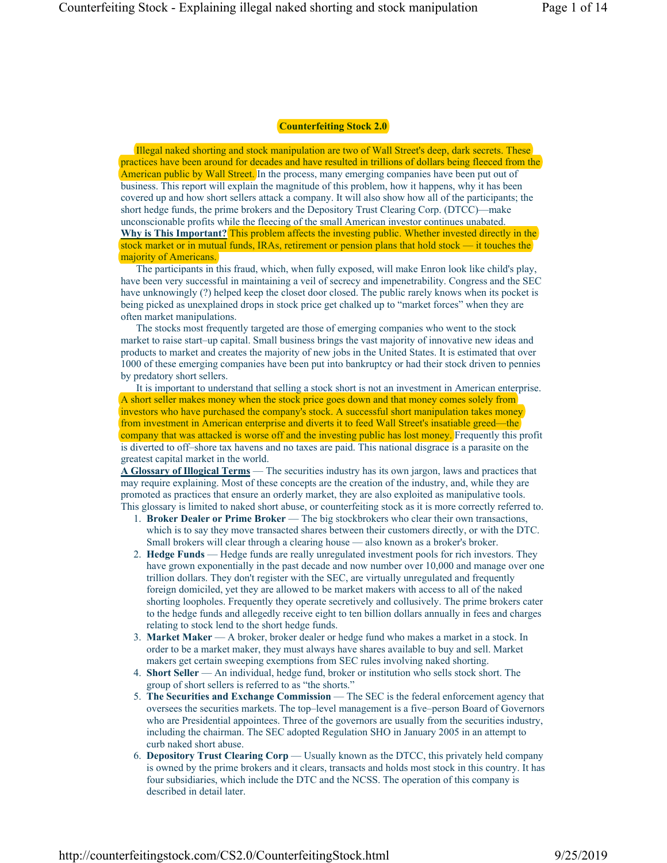## **Counterfeiting Stock 2.0**

Illegal naked shorting and stock manipulation are two of Wall Street's deep, dark secrets. These practices have been around for decades and have resulted in trillions of dollars being fleeced from the American public by Wall Street. In the process, many emerging companies have been put out of business. This report will explain the magnitude of this problem, how it happens, why it has been covered up and how short sellers attack a company. It will also show how all of the participants; the short hedge funds, the prime brokers and the Depository Trust Clearing Corp. (DTCC)—make unconscionable profits while the fleecing of the small American investor continues unabated. Why is This Important? This problem affects the investing public. Whether invested directly in the stock market or in mutual funds, IRAs, retirement or pension plans that hold stock — it touches the majority of Americans.

The participants in this fraud, which, when fully exposed, will make Enron look like child's play, have been very successful in maintaining a veil of secrecy and impenetrability. Congress and the SEC have unknowingly (?) helped keep the closet door closed. The public rarely knows when its pocket is being picked as unexplained drops in stock price get chalked up to "market forces" when they are often market manipulations.

The stocks most frequently targeted are those of emerging companies who went to the stock market to raise start–up capital. Small business brings the vast majority of innovative new ideas and products to market and creates the majority of new jobs in the United States. It is estimated that over 1000 of these emerging companies have been put into bankruptcy or had their stock driven to pennies by predatory short sellers.

It is important to understand that selling a stock short is not an investment in American enterprise. A short seller makes money when the stock price goes down and that money comes solely from investors who have purchased the company's stock. A successful short manipulation takes money from investment in American enterprise and diverts it to feed Wall Street's insatiable greed—the company that was attacked is worse off and the investing public has lost money. Frequently this profit is diverted to off–shore tax havens and no taxes are paid. This national disgrace is a parasite on the greatest capital market in the world.

**A Glossary of Illogical Terms** — The securities industry has its own jargon, laws and practices that may require explaining. Most of these concepts are the creation of the industry, and, while they are promoted as practices that ensure an orderly market, they are also exploited as manipulative tools. This glossary is limited to naked short abuse, or counterfeiting stock as it is more correctly referred to.

- 1. **Broker Dealer or Prime Broker** The big stockbrokers who clear their own transactions, which is to say they move transacted shares between their customers directly, or with the DTC. Small brokers will clear through a clearing house — also known as a broker's broker.
- 2. **Hedge Funds** Hedge funds are really unregulated investment pools for rich investors. They have grown exponentially in the past decade and now number over 10,000 and manage over one trillion dollars. They don't register with the SEC, are virtually unregulated and frequently foreign domiciled, yet they are allowed to be market makers with access to all of the naked shorting loopholes. Frequently they operate secretively and collusively. The prime brokers cater to the hedge funds and allegedly receive eight to ten billion dollars annually in fees and charges relating to stock lend to the short hedge funds.
- 3. **Market Maker** A broker, broker dealer or hedge fund who makes a market in a stock. In order to be a market maker, they must always have shares available to buy and sell. Market makers get certain sweeping exemptions from SEC rules involving naked shorting.
- 4. **Short Seller** An individual, hedge fund, broker or institution who sells stock short. The group of short sellers is referred to as "the shorts."
- 5. **The Securities and Exchange Commission** The SEC is the federal enforcement agency that oversees the securities markets. The top–level management is a five–person Board of Governors who are Presidential appointees. Three of the governors are usually from the securities industry, including the chairman. The SEC adopted Regulation SHO in January 2005 in an attempt to curb naked short abuse.
- 6. **Depository Trust Clearing Corp** Usually known as the DTCC, this privately held company is owned by the prime brokers and it clears, transacts and holds most stock in this country. It has four subsidiaries, which include the DTC and the NCSS. The operation of this company is described in detail later.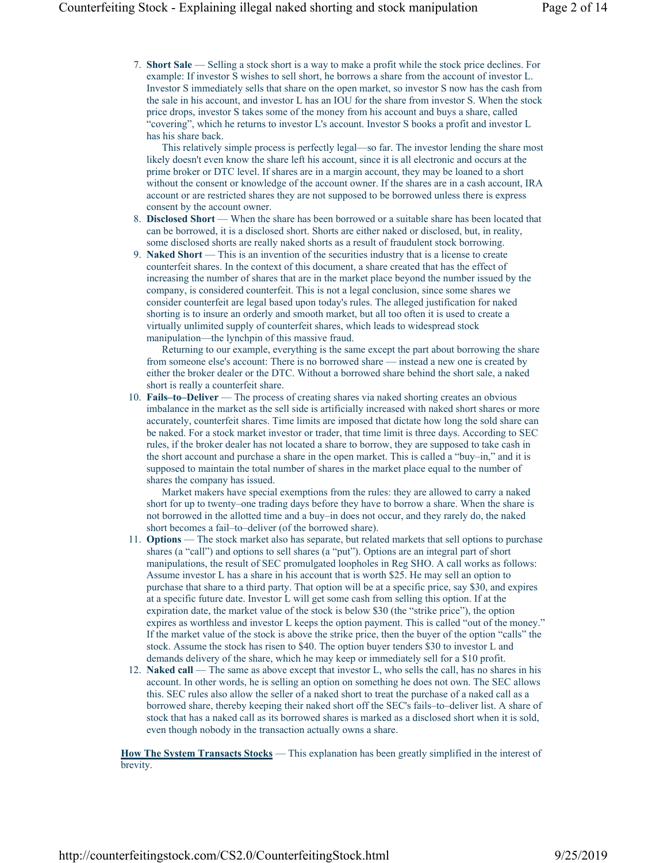7. **Short Sale** — Selling a stock short is a way to make a profit while the stock price declines. For example: If investor S wishes to sell short, he borrows a share from the account of investor L. Investor S immediately sells that share on the open market, so investor S now has the cash from the sale in his account, and investor L has an IOU for the share from investor S. When the stock price drops, investor S takes some of the money from his account and buys a share, called "covering", which he returns to investor L's account. Investor S books a profit and investor L has his share back.

This relatively simple process is perfectly legal—so far. The investor lending the share most likely doesn't even know the share left his account, since it is all electronic and occurs at the prime broker or DTC level. If shares are in a margin account, they may be loaned to a short without the consent or knowledge of the account owner. If the shares are in a cash account, IRA account or are restricted shares they are not supposed to be borrowed unless there is express consent by the account owner.

- 8. **Disclosed Short** When the share has been borrowed or a suitable share has been located that can be borrowed, it is a disclosed short. Shorts are either naked or disclosed, but, in reality, some disclosed shorts are really naked shorts as a result of fraudulent stock borrowing.
- 9. **Naked Short** This is an invention of the securities industry that is a license to create counterfeit shares. In the context of this document, a share created that has the effect of increasing the number of shares that are in the market place beyond the number issued by the company, is considered counterfeit. This is not a legal conclusion, since some shares we consider counterfeit are legal based upon today's rules. The alleged justification for naked shorting is to insure an orderly and smooth market, but all too often it is used to create a virtually unlimited supply of counterfeit shares, which leads to widespread stock manipulation—the lynchpin of this massive fraud.

Returning to our example, everything is the same except the part about borrowing the share from someone else's account: There is no borrowed share — instead a new one is created by either the broker dealer or the DTC. Without a borrowed share behind the short sale, a naked short is really a counterfeit share.

10. **Fails–to–Deliver** — The process of creating shares via naked shorting creates an obvious imbalance in the market as the sell side is artificially increased with naked short shares or more accurately, counterfeit shares. Time limits are imposed that dictate how long the sold share can be naked. For a stock market investor or trader, that time limit is three days. According to SEC rules, if the broker dealer has not located a share to borrow, they are supposed to take cash in the short account and purchase a share in the open market. This is called a "buy–in," and it is supposed to maintain the total number of shares in the market place equal to the number of shares the company has issued.

Market makers have special exemptions from the rules: they are allowed to carry a naked short for up to twenty–one trading days before they have to borrow a share. When the share is not borrowed in the allotted time and a buy–in does not occur, and they rarely do, the naked short becomes a fail–to–deliver (of the borrowed share).

- 11. **Options** The stock market also has separate, but related markets that sell options to purchase shares (a "call") and options to sell shares (a "put"). Options are an integral part of short manipulations, the result of SEC promulgated loopholes in Reg SHO. A call works as follows: Assume investor L has a share in his account that is worth \$25. He may sell an option to purchase that share to a third party. That option will be at a specific price, say \$30, and expires at a specific future date. Investor L will get some cash from selling this option. If at the expiration date, the market value of the stock is below \$30 (the "strike price"), the option expires as worthless and investor L keeps the option payment. This is called "out of the money." If the market value of the stock is above the strike price, then the buyer of the option "calls" the stock. Assume the stock has risen to \$40. The option buyer tenders \$30 to investor L and demands delivery of the share, which he may keep or immediately sell for a \$10 profit.
- 12. **Naked call** The same as above except that investor L, who sells the call, has no shares in his account. In other words, he is selling an option on something he does not own. The SEC allows this. SEC rules also allow the seller of a naked short to treat the purchase of a naked call as a borrowed share, thereby keeping their naked short off the SEC's fails–to–deliver list. A share of stock that has a naked call as its borrowed shares is marked as a disclosed short when it is sold, even though nobody in the transaction actually owns a share.

**How The System Transacts Stocks** — This explanation has been greatly simplified in the interest of brevity.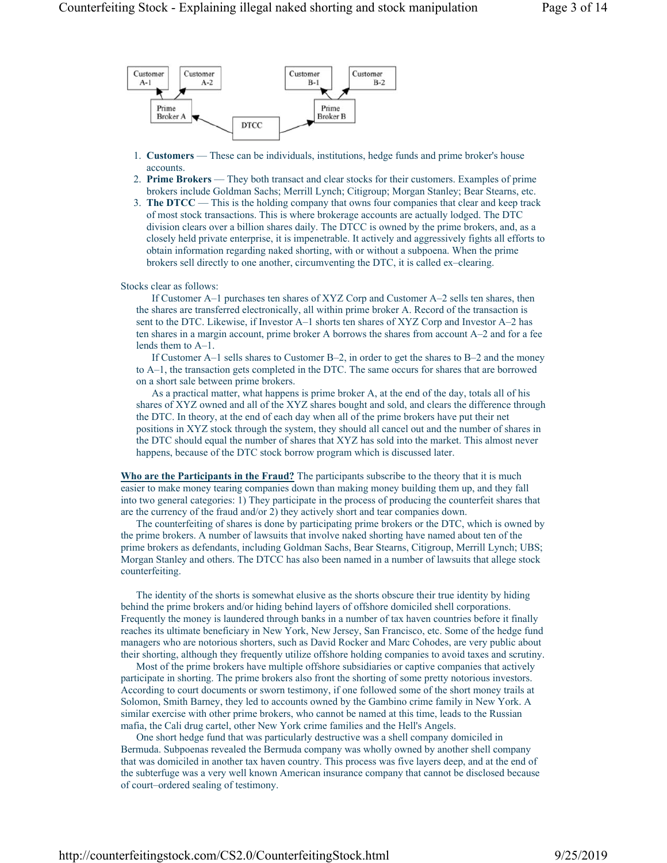

- 1. **Customers** These can be individuals, institutions, hedge funds and prime broker's house accounts.
- 2. **Prime Brokers** They both transact and clear stocks for their customers. Examples of prime brokers include Goldman Sachs; Merrill Lynch; Citigroup; Morgan Stanley; Bear Stearns, etc.
- 3. **The DTCC** This is the holding company that owns four companies that clear and keep track of most stock transactions. This is where brokerage accounts are actually lodged. The DTC division clears over a billion shares daily. The DTCC is owned by the prime brokers, and, as a closely held private enterprise, it is impenetrable. It actively and aggressively fights all efforts to obtain information regarding naked shorting, with or without a subpoena. When the prime brokers sell directly to one another, circumventing the DTC, it is called ex–clearing.

Stocks clear as follows:

If Customer A–1 purchases ten shares of XYZ Corp and Customer A–2 sells ten shares, then the shares are transferred electronically, all within prime broker A. Record of the transaction is sent to the DTC. Likewise, if Investor A–1 shorts ten shares of XYZ Corp and Investor A–2 has ten shares in a margin account, prime broker A borrows the shares from account A–2 and for a fee lends them to A–1.

If Customer A–1 sells shares to Customer B–2, in order to get the shares to B–2 and the money to A–1, the transaction gets completed in the DTC. The same occurs for shares that are borrowed on a short sale between prime brokers.

As a practical matter, what happens is prime broker A, at the end of the day, totals all of his shares of XYZ owned and all of the XYZ shares bought and sold, and clears the difference through the DTC. In theory, at the end of each day when all of the prime brokers have put their net positions in XYZ stock through the system, they should all cancel out and the number of shares in the DTC should equal the number of shares that XYZ has sold into the market. This almost never happens, because of the DTC stock borrow program which is discussed later.

**Who are the Participants in the Fraud?** The participants subscribe to the theory that it is much easier to make money tearing companies down than making money building them up, and they fall into two general categories: 1) They participate in the process of producing the counterfeit shares that are the currency of the fraud and/or 2) they actively short and tear companies down.

The counterfeiting of shares is done by participating prime brokers or the DTC, which is owned by the prime brokers. A number of lawsuits that involve naked shorting have named about ten of the prime brokers as defendants, including Goldman Sachs, Bear Stearns, Citigroup, Merrill Lynch; UBS; Morgan Stanley and others. The DTCC has also been named in a number of lawsuits that allege stock counterfeiting.

The identity of the shorts is somewhat elusive as the shorts obscure their true identity by hiding behind the prime brokers and/or hiding behind layers of offshore domiciled shell corporations. Frequently the money is laundered through banks in a number of tax haven countries before it finally reaches its ultimate beneficiary in New York, New Jersey, San Francisco, etc. Some of the hedge fund managers who are notorious shorters, such as David Rocker and Marc Cohodes, are very public about their shorting, although they frequently utilize offshore holding companies to avoid taxes and scrutiny.

Most of the prime brokers have multiple offshore subsidiaries or captive companies that actively participate in shorting. The prime brokers also front the shorting of some pretty notorious investors. According to court documents or sworn testimony, if one followed some of the short money trails at Solomon, Smith Barney, they led to accounts owned by the Gambino crime family in New York. A similar exercise with other prime brokers, who cannot be named at this time, leads to the Russian mafia, the Cali drug cartel, other New York crime families and the Hell's Angels.

One short hedge fund that was particularly destructive was a shell company domiciled in Bermuda. Subpoenas revealed the Bermuda company was wholly owned by another shell company that was domiciled in another tax haven country. This process was five layers deep, and at the end of the subterfuge was a very well known American insurance company that cannot be disclosed because of court–ordered sealing of testimony.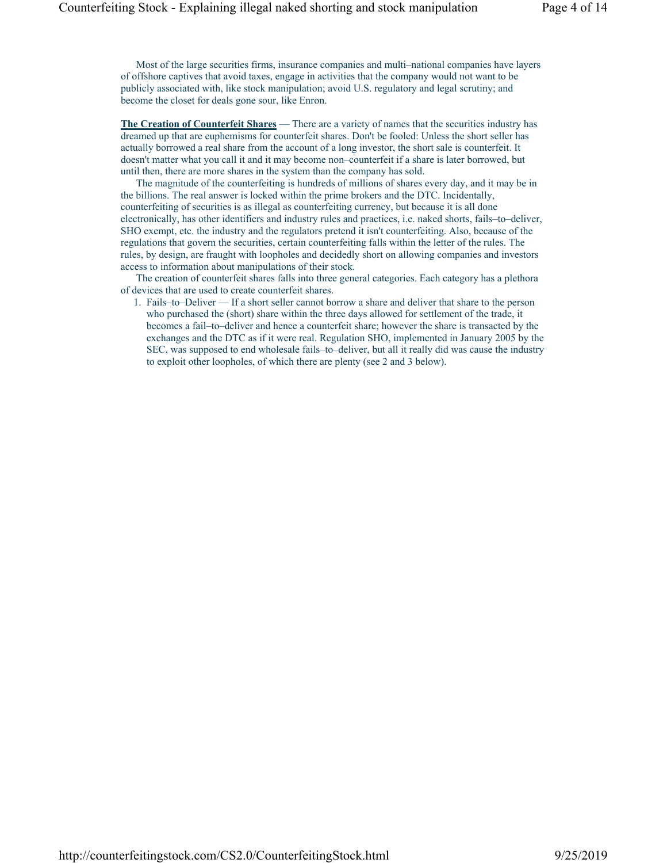Most of the large securities firms, insurance companies and multi–national companies have layers of offshore captives that avoid taxes, engage in activities that the company would not want to be publicly associated with, like stock manipulation; avoid U.S. regulatory and legal scrutiny; and become the closet for deals gone sour, like Enron.

**The Creation of Counterfeit Shares** — There are a variety of names that the securities industry has dreamed up that are euphemisms for counterfeit shares. Don't be fooled: Unless the short seller has actually borrowed a real share from the account of a long investor, the short sale is counterfeit. It doesn't matter what you call it and it may become non–counterfeit if a share is later borrowed, but until then, there are more shares in the system than the company has sold.

The magnitude of the counterfeiting is hundreds of millions of shares every day, and it may be in the billions. The real answer is locked within the prime brokers and the DTC. Incidentally, counterfeiting of securities is as illegal as counterfeiting currency, but because it is all done electronically, has other identifiers and industry rules and practices, i.e. naked shorts, fails–to–deliver, SHO exempt, etc. the industry and the regulators pretend it isn't counterfeiting. Also, because of the regulations that govern the securities, certain counterfeiting falls within the letter of the rules. The rules, by design, are fraught with loopholes and decidedly short on allowing companies and investors access to information about manipulations of their stock.

The creation of counterfeit shares falls into three general categories. Each category has a plethora of devices that are used to create counterfeit shares.

1. Fails–to–Deliver — If a short seller cannot borrow a share and deliver that share to the person who purchased the (short) share within the three days allowed for settlement of the trade, it becomes a fail–to–deliver and hence a counterfeit share; however the share is transacted by the exchanges and the DTC as if it were real. Regulation SHO, implemented in January 2005 by the SEC, was supposed to end wholesale fails–to–deliver, but all it really did was cause the industry to exploit other loopholes, of which there are plenty (see 2 and 3 below).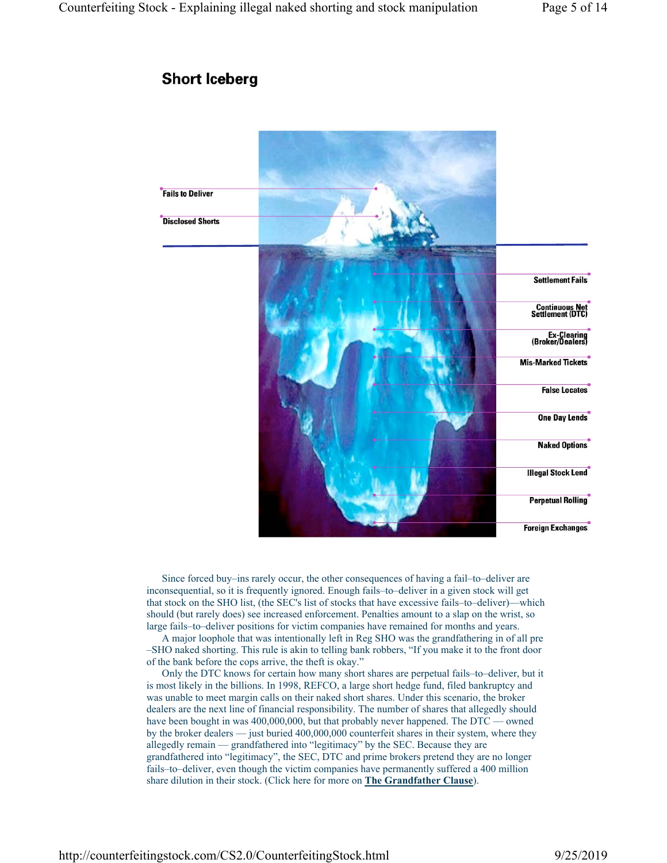## **Short Iceberg**



Since forced buy–ins rarely occur, the other consequences of having a fail–to–deliver are inconsequential, so it is frequently ignored. Enough fails–to–deliver in a given stock will get that stock on the SHO list, (the SEC's list of stocks that have excessive fails–to–deliver)—which should (but rarely does) see increased enforcement. Penalties amount to a slap on the wrist, so large fails–to–deliver positions for victim companies have remained for months and years.

A major loophole that was intentionally left in Reg SHO was the grandfathering in of all pre –SHO naked shorting. This rule is akin to telling bank robbers, "If you make it to the front door of the bank before the cops arrive, the theft is okay."

Only the DTC knows for certain how many short shares are perpetual fails–to–deliver, but it is most likely in the billions. In 1998, REFCO, a large short hedge fund, filed bankruptcy and was unable to meet margin calls on their naked short shares. Under this scenario, the broker dealers are the next line of financial responsibility. The number of shares that allegedly should have been bought in was 400,000,000, but that probably never happened. The DTC — owned by the broker dealers — just buried 400,000,000 counterfeit shares in their system, where they allegedly remain — grandfathered into "legitimacy" by the SEC. Because they are grandfathered into "legitimacy", the SEC, DTC and prime brokers pretend they are no longer fails–to–deliver, even though the victim companies have permanently suffered a 400 million share dilution in their stock. (Click here for more on **The Grandfather Clause**).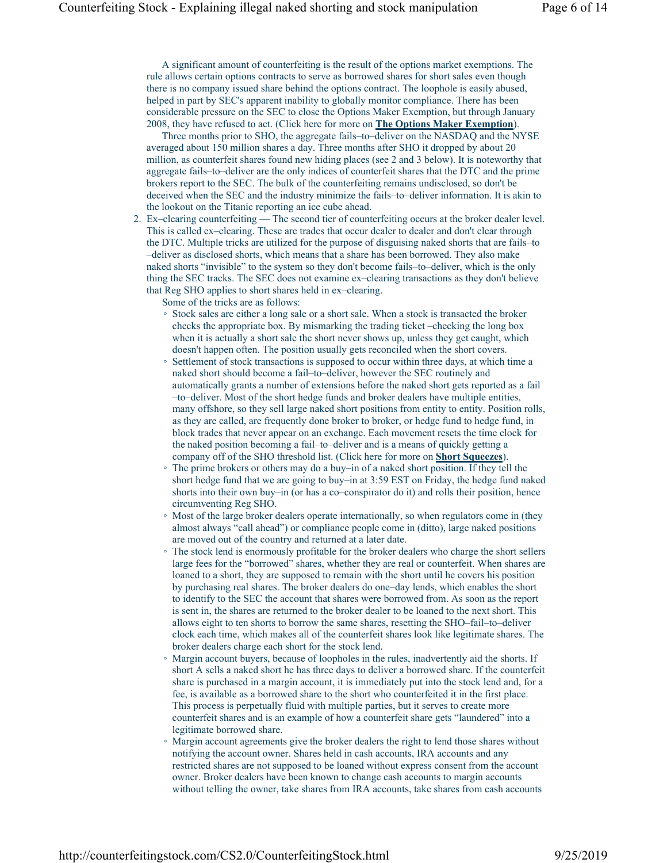A significant amount of counterfeiting is the result of the options market exemptions. The rule allows certain options contracts to serve as borrowed shares for short sales even though there is no company issued share behind the options contract. The loophole is easily abused, helped in part by SEC's apparent inability to globally monitor compliance. There has been considerable pressure on the SEC to close the Options Maker Exemption, but through January 2008, they have refused to act. (Click here for more on **The Options Maker Exemption**).

Three months prior to SHO, the aggregate fails–to–deliver on the NASDAQ and the NYSE averaged about 150 million shares a day. Three months after SHO it dropped by about 20 million, as counterfeit shares found new hiding places (see 2 and 3 below). It is noteworthy that aggregate fails–to–deliver are the only indices of counterfeit shares that the DTC and the prime brokers report to the SEC. The bulk of the counterfeiting remains undisclosed, so don't be deceived when the SEC and the industry minimize the fails–to–deliver information. It is akin to the lookout on the Titanic reporting an ice cube ahead.

- 2. Ex–clearing counterfeiting The second tier of counterfeiting occurs at the broker dealer level. This is called ex–clearing. These are trades that occur dealer to dealer and don't clear through the DTC. Multiple tricks are utilized for the purpose of disguising naked shorts that are fails–to –deliver as disclosed shorts, which means that a share has been borrowed. They also make naked shorts "invisible" to the system so they don't become fails–to–deliver, which is the only thing the SEC tracks. The SEC does not examine ex–clearing transactions as they don't believe that Reg SHO applies to short shares held in ex–clearing.
	- Some of the tricks are as follows:
	- Stock sales are either a long sale or a short sale. When a stock is transacted the broker checks the appropriate box. By mismarking the trading ticket –checking the long box when it is actually a short sale the short never shows up, unless they get caught, which doesn't happen often. The position usually gets reconciled when the short covers.
	- Settlement of stock transactions is supposed to occur within three days, at which time a naked short should become a fail–to–deliver, however the SEC routinely and automatically grants a number of extensions before the naked short gets reported as a fail –to–deliver. Most of the short hedge funds and broker dealers have multiple entities, many offshore, so they sell large naked short positions from entity to entity. Position rolls, as they are called, are frequently done broker to broker, or hedge fund to hedge fund, in block trades that never appear on an exchange. Each movement resets the time clock for the naked position becoming a fail–to–deliver and is a means of quickly getting a company off of the SHO threshold list. (Click here for more on **Short Squeezes**).
	- The prime brokers or others may do a buy–in of a naked short position. If they tell the short hedge fund that we are going to buy–in at 3:59 EST on Friday, the hedge fund naked shorts into their own buy–in (or has a co–conspirator do it) and rolls their position, hence circumventing Reg SHO.
	- Most of the large broker dealers operate internationally, so when regulators come in (they almost always "call ahead") or compliance people come in (ditto), large naked positions are moved out of the country and returned at a later date.
	- The stock lend is enormously profitable for the broker dealers who charge the short sellers large fees for the "borrowed" shares, whether they are real or counterfeit. When shares are loaned to a short, they are supposed to remain with the short until he covers his position by purchasing real shares. The broker dealers do one–day lends, which enables the short to identify to the SEC the account that shares were borrowed from. As soon as the report is sent in, the shares are returned to the broker dealer to be loaned to the next short. This allows eight to ten shorts to borrow the same shares, resetting the SHO–fail–to–deliver clock each time, which makes all of the counterfeit shares look like legitimate shares. The broker dealers charge each short for the stock lend.
	- Margin account buyers, because of loopholes in the rules, inadvertently aid the shorts. If short A sells a naked short he has three days to deliver a borrowed share. If the counterfeit share is purchased in a margin account, it is immediately put into the stock lend and, for a fee, is available as a borrowed share to the short who counterfeited it in the first place. This process is perpetually fluid with multiple parties, but it serves to create more counterfeit shares and is an example of how a counterfeit share gets "laundered" into a legitimate borrowed share.
	- Margin account agreements give the broker dealers the right to lend those shares without notifying the account owner. Shares held in cash accounts, IRA accounts and any restricted shares are not supposed to be loaned without express consent from the account owner. Broker dealers have been known to change cash accounts to margin accounts without telling the owner, take shares from IRA accounts, take shares from cash accounts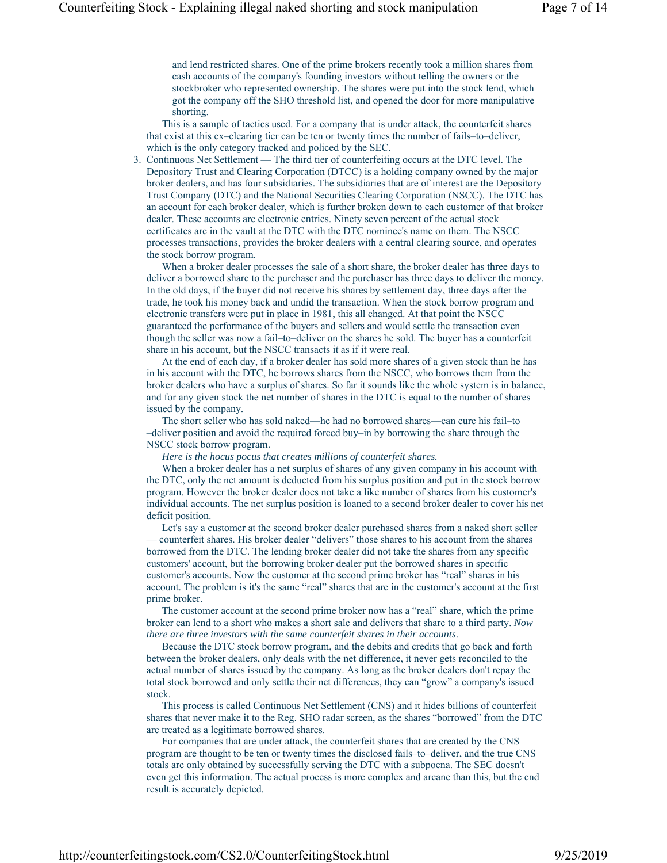and lend restricted shares. One of the prime brokers recently took a million shares from cash accounts of the company's founding investors without telling the owners or the stockbroker who represented ownership. The shares were put into the stock lend, which got the company off the SHO threshold list, and opened the door for more manipulative shorting.

This is a sample of tactics used. For a company that is under attack, the counterfeit shares that exist at this ex–clearing tier can be ten or twenty times the number of fails–to–deliver, which is the only category tracked and policed by the SEC.

3. Continuous Net Settlement — The third tier of counterfeiting occurs at the DTC level. The Depository Trust and Clearing Corporation (DTCC) is a holding company owned by the major broker dealers, and has four subsidiaries. The subsidiaries that are of interest are the Depository Trust Company (DTC) and the National Securities Clearing Corporation (NSCC). The DTC has an account for each broker dealer, which is further broken down to each customer of that broker dealer. These accounts are electronic entries. Ninety seven percent of the actual stock certificates are in the vault at the DTC with the DTC nominee's name on them. The NSCC processes transactions, provides the broker dealers with a central clearing source, and operates the stock borrow program.

When a broker dealer processes the sale of a short share, the broker dealer has three days to deliver a borrowed share to the purchaser and the purchaser has three days to deliver the money. In the old days, if the buyer did not receive his shares by settlement day, three days after the trade, he took his money back and undid the transaction. When the stock borrow program and electronic transfers were put in place in 1981, this all changed. At that point the NSCC guaranteed the performance of the buyers and sellers and would settle the transaction even though the seller was now a fail–to–deliver on the shares he sold. The buyer has a counterfeit share in his account, but the NSCC transacts it as if it were real.

At the end of each day, if a broker dealer has sold more shares of a given stock than he has in his account with the DTC, he borrows shares from the NSCC, who borrows them from the broker dealers who have a surplus of shares. So far it sounds like the whole system is in balance, and for any given stock the net number of shares in the DTC is equal to the number of shares issued by the company.

The short seller who has sold naked—he had no borrowed shares—can cure his fail–to –deliver position and avoid the required forced buy–in by borrowing the share through the NSCC stock borrow program.

*Here is the hocus pocus that creates millions of counterfeit shares.*

When a broker dealer has a net surplus of shares of any given company in his account with the DTC, only the net amount is deducted from his surplus position and put in the stock borrow program. However the broker dealer does not take a like number of shares from his customer's individual accounts. The net surplus position is loaned to a second broker dealer to cover his net deficit position.

Let's say a customer at the second broker dealer purchased shares from a naked short seller — counterfeit shares. His broker dealer "delivers" those shares to his account from the shares borrowed from the DTC. The lending broker dealer did not take the shares from any specific customers' account, but the borrowing broker dealer put the borrowed shares in specific customer's accounts. Now the customer at the second prime broker has "real" shares in his account. The problem is it's the same "real" shares that are in the customer's account at the first prime broker.

The customer account at the second prime broker now has a "real" share, which the prime broker can lend to a short who makes a short sale and delivers that share to a third party. *Now there are three investors with the same counterfeit shares in their accounts*.

Because the DTC stock borrow program, and the debits and credits that go back and forth between the broker dealers, only deals with the net difference, it never gets reconciled to the actual number of shares issued by the company. As long as the broker dealers don't repay the total stock borrowed and only settle their net differences, they can "grow" a company's issued stock.

This process is called Continuous Net Settlement (CNS) and it hides billions of counterfeit shares that never make it to the Reg. SHO radar screen, as the shares "borrowed" from the DTC are treated as a legitimate borrowed shares.

For companies that are under attack, the counterfeit shares that are created by the CNS program are thought to be ten or twenty times the disclosed fails–to–deliver, and the true CNS totals are only obtained by successfully serving the DTC with a subpoena. The SEC doesn't even get this information. The actual process is more complex and arcane than this, but the end result is accurately depicted.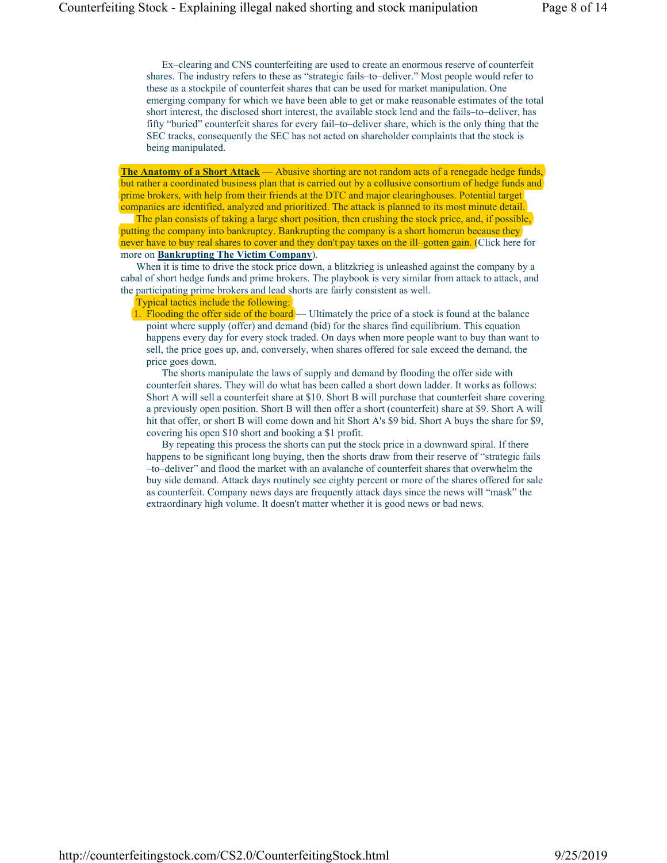Ex–clearing and CNS counterfeiting are used to create an enormous reserve of counterfeit shares. The industry refers to these as "strategic fails–to–deliver." Most people would refer to these as a stockpile of counterfeit shares that can be used for market manipulation. One emerging company for which we have been able to get or make reasonable estimates of the total short interest, the disclosed short interest, the available stock lend and the fails–to–deliver, has fifty "buried" counterfeit shares for every fail–to–deliver share, which is the only thing that the SEC tracks, consequently the SEC has not acted on shareholder complaints that the stock is being manipulated.

**The Anatomy of a Short Attack** — Abusive shorting are not random acts of a renegade hedge funds, but rather a coordinated business plan that is carried out by a collusive consortium of hedge funds and prime brokers, with help from their friends at the DTC and major clearinghouses. Potential target companies are identified, analyzed and prioritized. The attack is planned to its most minute detail.

The plan consists of taking a large short position, then crushing the stock price, and, if possible, putting the company into bankruptcy. Bankrupting the company is a short homerun because they never have to buy real shares to cover and they don't pay taxes on the ill–gotten gain. (Click here for more on **Bankrupting The Victim Company**).

When it is time to drive the stock price down, a blitzkrieg is unleashed against the company by a cabal of short hedge funds and prime brokers. The playbook is very similar from attack to attack, and the participating prime brokers and lead shorts are fairly consistent as well.

## Typical tactics include the following:

1. Flooding the offer side of the board — Ultimately the price of a stock is found at the balance point where supply (offer) and demand (bid) for the shares find equilibrium. This equation happens every day for every stock traded. On days when more people want to buy than want to sell, the price goes up, and, conversely, when shares offered for sale exceed the demand, the price goes down.

The shorts manipulate the laws of supply and demand by flooding the offer side with counterfeit shares. They will do what has been called a short down ladder. It works as follows: Short A will sell a counterfeit share at \$10. Short B will purchase that counterfeit share covering a previously open position. Short B will then offer a short (counterfeit) share at \$9. Short A will hit that offer, or short B will come down and hit Short A's \$9 bid. Short A buys the share for \$9, covering his open \$10 short and booking a \$1 profit.

By repeating this process the shorts can put the stock price in a downward spiral. If there happens to be significant long buying, then the shorts draw from their reserve of "strategic fails –to–deliver" and flood the market with an avalanche of counterfeit shares that overwhelm the buy side demand. Attack days routinely see eighty percent or more of the shares offered for sale as counterfeit. Company news days are frequently attack days since the news will "mask" the extraordinary high volume. It doesn't matter whether it is good news or bad news.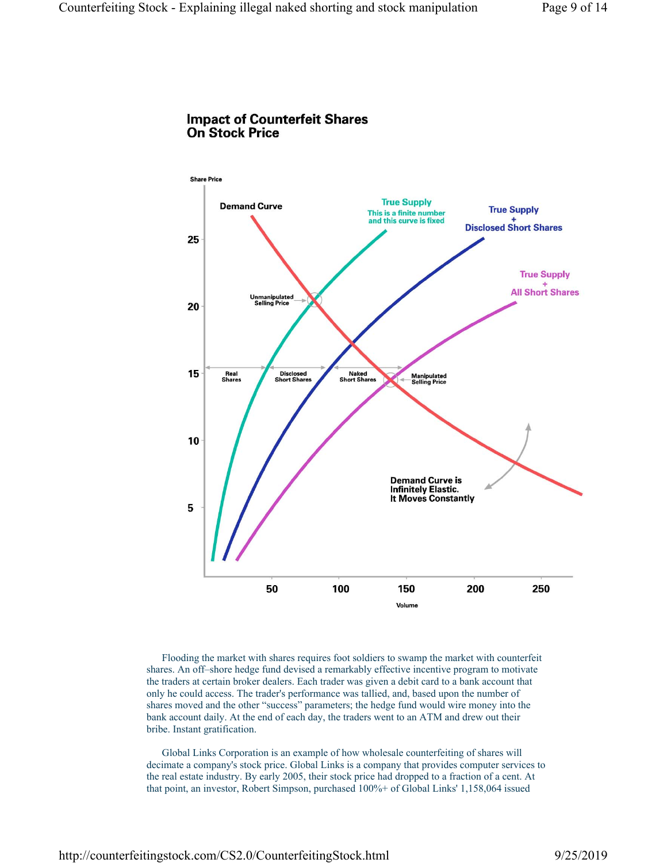

## **Impact of Counterfeit Shares On Stock Price**

Flooding the market with shares requires foot soldiers to swamp the market with counterfeit shares. An off–shore hedge fund devised a remarkably effective incentive program to motivate the traders at certain broker dealers. Each trader was given a debit card to a bank account that only he could access. The trader's performance was tallied, and, based upon the number of shares moved and the other "success" parameters; the hedge fund would wire money into the bank account daily. At the end of each day, the traders went to an ATM and drew out their bribe. Instant gratification.

Global Links Corporation is an example of how wholesale counterfeiting of shares will decimate a company's stock price. Global Links is a company that provides computer services to the real estate industry. By early 2005, their stock price had dropped to a fraction of a cent. At that point, an investor, Robert Simpson, purchased 100%+ of Global Links' 1,158,064 issued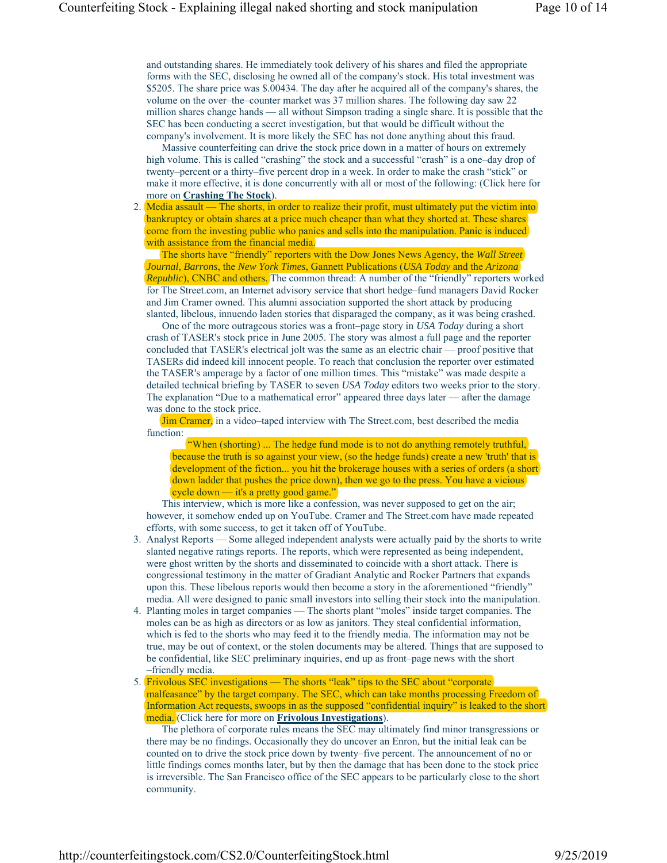and outstanding shares. He immediately took delivery of his shares and filed the appropriate forms with the SEC, disclosing he owned all of the company's stock. His total investment was \$5205. The share price was \$.00434. The day after he acquired all of the company's shares, the volume on the over–the–counter market was 37 million shares. The following day saw 22 million shares change hands — all without Simpson trading a single share. It is possible that the SEC has been conducting a secret investigation, but that would be difficult without the company's involvement. It is more likely the SEC has not done anything about this fraud.

Massive counterfeiting can drive the stock price down in a matter of hours on extremely high volume. This is called "crashing" the stock and a successful "crash" is a one–day drop of twenty–percent or a thirty–five percent drop in a week. In order to make the crash "stick" or make it more effective, it is done concurrently with all or most of the following: (Click here for more on **Crashing The Stock**).

2. Media assault — The shorts, in order to realize their profit, must ultimately put the victim into bankruptcy or obtain shares at a price much cheaper than what they shorted at. These shares come from the investing public who panics and sells into the manipulation. Panic is induced with assistance from the financial media.

The shorts have "friendly" reporters with the Dow Jones News Agency, the *Wall Street Journal*, *Barrons*, the *New York Times*, Gannett Publications (*USA Today* and the *Arizona Republic*), CNBC and others. The common thread: A number of the "friendly" reporters worked for The Street.com, an Internet advisory service that short hedge–fund managers David Rocker and Jim Cramer owned. This alumni association supported the short attack by producing slanted, libelous, innuendo laden stories that disparaged the company, as it was being crashed.

One of the more outrageous stories was a front–page story in *USA Today* during a short crash of TASER's stock price in June 2005. The story was almost a full page and the reporter concluded that TASER's electrical jolt was the same as an electric chair — proof positive that TASERs did indeed kill innocent people. To reach that conclusion the reporter over estimated the TASER's amperage by a factor of one million times. This "mistake" was made despite a detailed technical briefing by TASER to seven *USA Today* editors two weeks prior to the story. The explanation "Due to a mathematical error" appeared three days later — after the damage was done to the stock price.

Jim Cramer, in a video–taped interview with The Street.com, best described the media function:

"When (shorting) ... The hedge fund mode is to not do anything remotely truthful, because the truth is so against your view, (so the hedge funds) create a new 'truth' that is development of the fiction... you hit the brokerage houses with a series of orders (a short) down ladder that pushes the price down), then we go to the press. You have a vicious cycle down — it's a pretty good game."

This interview, which is more like a confession, was never supposed to get on the air; however, it somehow ended up on YouTube. Cramer and The Street.com have made repeated efforts, with some success, to get it taken off of YouTube.

- 3. Analyst Reports Some alleged independent analysts were actually paid by the shorts to write slanted negative ratings reports. The reports, which were represented as being independent, were ghost written by the shorts and disseminated to coincide with a short attack. There is congressional testimony in the matter of Gradiant Analytic and Rocker Partners that expands upon this. These libelous reports would then become a story in the aforementioned "friendly" media. All were designed to panic small investors into selling their stock into the manipulation.
- 4. Planting moles in target companies The shorts plant "moles" inside target companies. The moles can be as high as directors or as low as janitors. They steal confidential information, which is fed to the shorts who may feed it to the friendly media. The information may not be true, may be out of context, or the stolen documents may be altered. Things that are supposed to be confidential, like SEC preliminary inquiries, end up as front–page news with the short –friendly media.
- 5. Frivolous SEC investigations The shorts "leak" tips to the SEC about "corporate malfeasance" by the target company. The SEC, which can take months processing Freedom of Information Act requests, swoops in as the supposed "confidential inquiry" is leaked to the short media. (Click here for more on **Frivolous Investigations**).

The plethora of corporate rules means the SEC may ultimately find minor transgressions or there may be no findings. Occasionally they do uncover an Enron, but the initial leak can be counted on to drive the stock price down by twenty–five percent. The announcement of no or little findings comes months later, but by then the damage that has been done to the stock price is irreversible. The San Francisco office of the SEC appears to be particularly close to the short community.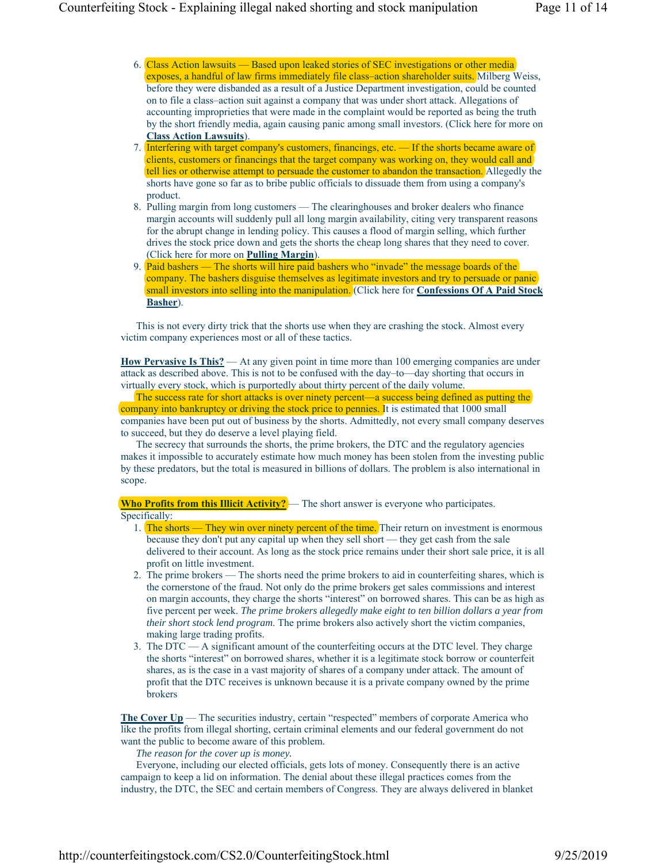- 6. Class Action lawsuits Based upon leaked stories of SEC investigations or other media exposes, a handful of law firms immediately file class–action shareholder suits. Milberg Weiss, before they were disbanded as a result of a Justice Department investigation, could be counted on to file a class–action suit against a company that was under short attack. Allegations of accounting improprieties that were made in the complaint would be reported as being the truth by the short friendly media, again causing panic among small investors. (Click here for more on **Class Action Lawsuits**).
- 7. Interfering with target company's customers, financings, etc. If the shorts became aware of clients, customers or financings that the target company was working on, they would call and tell lies or otherwise attempt to persuade the customer to abandon the transaction. Allegedly the shorts have gone so far as to bribe public officials to dissuade them from using a company's product.
- 8. Pulling margin from long customers The clearinghouses and broker dealers who finance margin accounts will suddenly pull all long margin availability, citing very transparent reasons for the abrupt change in lending policy. This causes a flood of margin selling, which further drives the stock price down and gets the shorts the cheap long shares that they need to cover. (Click here for more on **Pulling Margin**).
- 9. Paid bashers The shorts will hire paid bashers who "invade" the message boards of the company. The bashers disguise themselves as legitimate investors and try to persuade or panic small investors into selling into the manipulation. (Click here for **Confessions Of A Paid Stock Basher**).

This is not every dirty trick that the shorts use when they are crashing the stock. Almost every victim company experiences most or all of these tactics.

**How Pervasive Is This?** — At any given point in time more than 100 emerging companies are under attack as described above. This is not to be confused with the day–to—day shorting that occurs in virtually every stock, which is purportedly about thirty percent of the daily volume.

The success rate for short attacks is over ninety percent—a success being defined as putting the company into bankruptcy or driving the stock price to pennies. It is estimated that 1000 small companies have been put out of business by the shorts. Admittedly, not every small company deserves to succeed, but they do deserve a level playing field.

The secrecy that surrounds the shorts, the prime brokers, the DTC and the regulatory agencies makes it impossible to accurately estimate how much money has been stolen from the investing public by these predators, but the total is measured in billions of dollars. The problem is also international in scope.

Who Profits from this **Illicit Activity?** — The short answer is everyone who participates. Specifically:

- 1. The shorts They win over ninety percent of the time. Their return on investment is enormous because they don't put any capital up when they sell short — they get cash from the sale delivered to their account. As long as the stock price remains under their short sale price, it is all profit on little investment.
- 2. The prime brokers The shorts need the prime brokers to aid in counterfeiting shares, which is the cornerstone of the fraud. Not only do the prime brokers get sales commissions and interest on margin accounts, they charge the shorts "interest" on borrowed shares. This can be as high as five percent per week. *The prime brokers allegedly make eight to ten billion dollars a year from their short stock lend program*. The prime brokers also actively short the victim companies, making large trading profits.
- 3. The DTC A significant amount of the counterfeiting occurs at the DTC level. They charge the shorts "interest" on borrowed shares, whether it is a legitimate stock borrow or counterfeit shares, as is the case in a vast majority of shares of a company under attack. The amount of profit that the DTC receives is unknown because it is a private company owned by the prime brokers

**The Cover Up** — The securities industry, certain "respected" members of corporate America who like the profits from illegal shorting, certain criminal elements and our federal government do not want the public to become aware of this problem.

*The reason for the cover up is money.* 

Everyone, including our elected officials, gets lots of money. Consequently there is an active campaign to keep a lid on information. The denial about these illegal practices comes from the industry, the DTC, the SEC and certain members of Congress. They are always delivered in blanket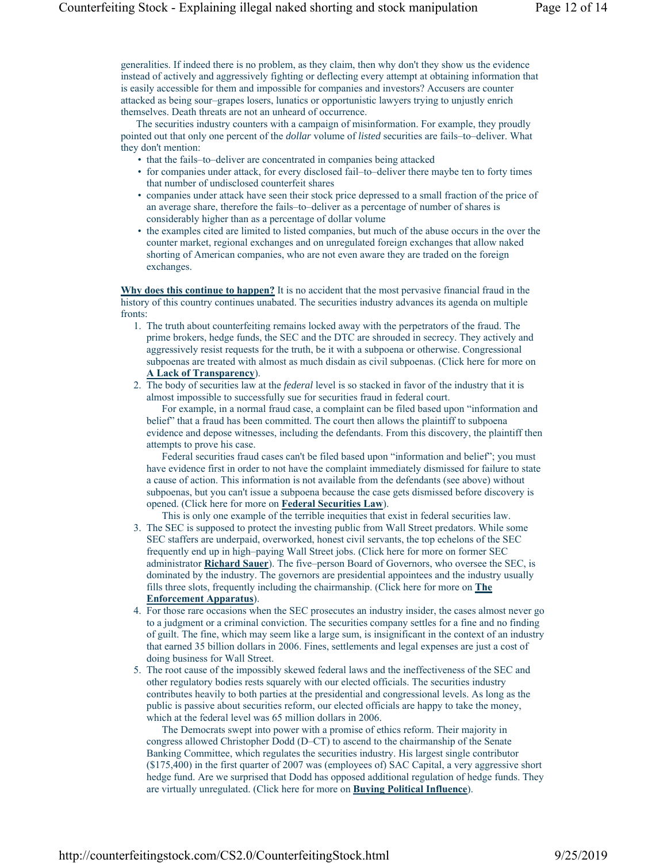generalities. If indeed there is no problem, as they claim, then why don't they show us the evidence instead of actively and aggressively fighting or deflecting every attempt at obtaining information that is easily accessible for them and impossible for companies and investors? Accusers are counter attacked as being sour–grapes losers, lunatics or opportunistic lawyers trying to unjustly enrich themselves. Death threats are not an unheard of occurrence.

The securities industry counters with a campaign of misinformation. For example, they proudly pointed out that only one percent of the *dollar* volume of *listed* securities are fails–to–deliver. What they don't mention:

- that the fails–to–deliver are concentrated in companies being attacked
- for companies under attack, for every disclosed fail–to–deliver there maybe ten to forty times that number of undisclosed counterfeit shares
- companies under attack have seen their stock price depressed to a small fraction of the price of an average share, therefore the fails–to–deliver as a percentage of number of shares is considerably higher than as a percentage of dollar volume
- the examples cited are limited to listed companies, but much of the abuse occurs in the over the counter market, regional exchanges and on unregulated foreign exchanges that allow naked shorting of American companies, who are not even aware they are traded on the foreign exchanges.

**Why does this continue to happen?** It is no accident that the most pervasive financial fraud in the history of this country continues unabated. The securities industry advances its agenda on multiple fronts:

- 1. The truth about counterfeiting remains locked away with the perpetrators of the fraud. The prime brokers, hedge funds, the SEC and the DTC are shrouded in secrecy. They actively and aggressively resist requests for the truth, be it with a subpoena or otherwise. Congressional subpoenas are treated with almost as much disdain as civil subpoenas. (Click here for more on **A Lack of Transparency**).
- 2. The body of securities law at the *federal* level is so stacked in favor of the industry that it is almost impossible to successfully sue for securities fraud in federal court.

For example, in a normal fraud case, a complaint can be filed based upon "information and belief" that a fraud has been committed. The court then allows the plaintiff to subpoena evidence and depose witnesses, including the defendants. From this discovery, the plaintiff then attempts to prove his case.

Federal securities fraud cases can't be filed based upon "information and belief"; you must have evidence first in order to not have the complaint immediately dismissed for failure to state a cause of action. This information is not available from the defendants (see above) without subpoenas, but you can't issue a subpoena because the case gets dismissed before discovery is opened. (Click here for more on **Federal Securities Law**).

This is only one example of the terrible inequities that exist in federal securities law.

- 3. The SEC is supposed to protect the investing public from Wall Street predators. While some SEC staffers are underpaid, overworked, honest civil servants, the top echelons of the SEC frequently end up in high–paying Wall Street jobs. (Click here for more on former SEC administrator **Richard Sauer**). The five–person Board of Governors, who oversee the SEC, is dominated by the industry. The governors are presidential appointees and the industry usually fills three slots, frequently including the chairmanship. (Click here for more on **The Enforcement Apparatus**).
- 4. For those rare occasions when the SEC prosecutes an industry insider, the cases almost never go to a judgment or a criminal conviction. The securities company settles for a fine and no finding of guilt. The fine, which may seem like a large sum, is insignificant in the context of an industry that earned 35 billion dollars in 2006. Fines, settlements and legal expenses are just a cost of doing business for Wall Street.
- 5. The root cause of the impossibly skewed federal laws and the ineffectiveness of the SEC and other regulatory bodies rests squarely with our elected officials. The securities industry contributes heavily to both parties at the presidential and congressional levels. As long as the public is passive about securities reform, our elected officials are happy to take the money, which at the federal level was 65 million dollars in 2006.

The Democrats swept into power with a promise of ethics reform. Their majority in congress allowed Christopher Dodd (D–CT) to ascend to the chairmanship of the Senate Banking Committee, which regulates the securities industry. His largest single contributor (\$175,400) in the first quarter of 2007 was (employees of) SAC Capital, a very aggressive short hedge fund. Are we surprised that Dodd has opposed additional regulation of hedge funds. They are virtually unregulated. (Click here for more on **Buying Political Influence**).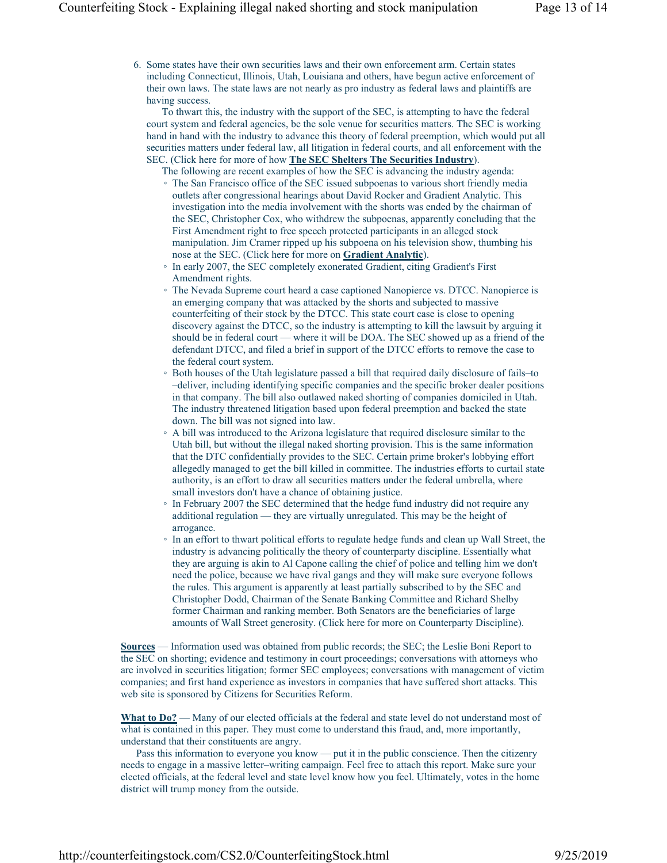6. Some states have their own securities laws and their own enforcement arm. Certain states including Connecticut, Illinois, Utah, Louisiana and others, have begun active enforcement of their own laws. The state laws are not nearly as pro industry as federal laws and plaintiffs are having success.

To thwart this, the industry with the support of the SEC, is attempting to have the federal court system and federal agencies, be the sole venue for securities matters. The SEC is working hand in hand with the industry to advance this theory of federal preemption, which would put all securities matters under federal law, all litigation in federal courts, and all enforcement with the SEC. (Click here for more of how **The SEC Shelters The Securities Industry**).

The following are recent examples of how the SEC is advancing the industry agenda:

- The San Francisco office of the SEC issued subpoenas to various short friendly media outlets after congressional hearings about David Rocker and Gradient Analytic. This investigation into the media involvement with the shorts was ended by the chairman of the SEC, Christopher Cox, who withdrew the subpoenas, apparently concluding that the First Amendment right to free speech protected participants in an alleged stock manipulation. Jim Cramer ripped up his subpoena on his television show, thumbing his nose at the SEC. (Click here for more on **Gradient Analytic**).
- In early 2007, the SEC completely exonerated Gradient, citing Gradient's First Amendment rights.
- The Nevada Supreme court heard a case captioned Nanopierce vs. DTCC. Nanopierce is an emerging company that was attacked by the shorts and subjected to massive counterfeiting of their stock by the DTCC. This state court case is close to opening discovery against the DTCC, so the industry is attempting to kill the lawsuit by arguing it should be in federal court — where it will be DOA. The SEC showed up as a friend of the defendant DTCC, and filed a brief in support of the DTCC efforts to remove the case to the federal court system.
- Both houses of the Utah legislature passed a bill that required daily disclosure of fails–to –deliver, including identifying specific companies and the specific broker dealer positions in that company. The bill also outlawed naked shorting of companies domiciled in Utah. The industry threatened litigation based upon federal preemption and backed the state down. The bill was not signed into law.
- A bill was introduced to the Arizona legislature that required disclosure similar to the Utah bill, but without the illegal naked shorting provision. This is the same information that the DTC confidentially provides to the SEC. Certain prime broker's lobbying effort allegedly managed to get the bill killed in committee. The industries efforts to curtail state authority, is an effort to draw all securities matters under the federal umbrella, where small investors don't have a chance of obtaining justice.
- In February 2007 the SEC determined that the hedge fund industry did not require any additional regulation — they are virtually unregulated. This may be the height of arrogance.
- In an effort to thwart political efforts to regulate hedge funds and clean up Wall Street, the industry is advancing politically the theory of counterparty discipline. Essentially what they are arguing is akin to Al Capone calling the chief of police and telling him we don't need the police, because we have rival gangs and they will make sure everyone follows the rules. This argument is apparently at least partially subscribed to by the SEC and Christopher Dodd, Chairman of the Senate Banking Committee and Richard Shelby former Chairman and ranking member. Both Senators are the beneficiaries of large amounts of Wall Street generosity. (Click here for more on Counterparty Discipline).

**Sources** — Information used was obtained from public records; the SEC; the Leslie Boni Report to the SEC on shorting; evidence and testimony in court proceedings; conversations with attorneys who are involved in securities litigation; former SEC employees; conversations with management of victim companies; and first hand experience as investors in companies that have suffered short attacks. This web site is sponsored by Citizens for Securities Reform.

**What to Do?** — Many of our elected officials at the federal and state level do not understand most of what is contained in this paper. They must come to understand this fraud, and, more importantly, understand that their constituents are angry.

Pass this information to everyone you know — put it in the public conscience. Then the citizenry needs to engage in a massive letter–writing campaign. Feel free to attach this report. Make sure your elected officials, at the federal level and state level know how you feel. Ultimately, votes in the home district will trump money from the outside.